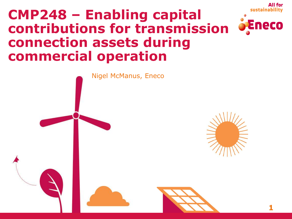# **CMP248 – Enabling capital contributions for transmission connection assets during commercial operation**



**1**

All for

sustainability

Eneco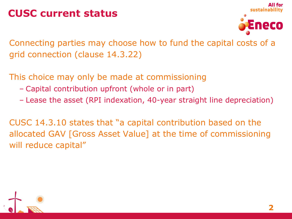#### **CUSC current status**



Connecting parties may choose how to fund the capital costs of a grid connection (clause 14.3.22)

This choice may only be made at commissioning

- Capital contribution upfront (whole or in part)
- Lease the asset (RPI indexation, 40-year straight line depreciation)

CUSC 14.3.10 states that "a capital contribution based on the allocated GAV [Gross Asset Value] at the time of commissioning will reduce capital"

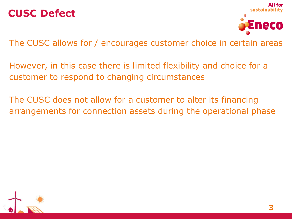#### **CUSC Defect**



The CUSC allows for / encourages customer choice in certain areas

However, in this case there is limited flexibility and choice for a customer to respond to changing circumstances

The CUSC does not allow for a customer to alter its financing arrangements for connection assets during the operational phase

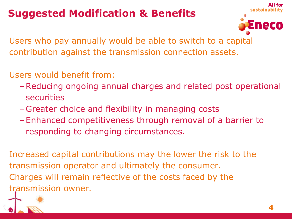### **Suggested Modification & Benefits**



Users who pay annually would be able to switch to a capital contribution against the transmission connection assets.

- Users would benefit from:
	- –Reducing ongoing annual charges and related post operational securities
	- Greater choice and flexibility in managing costs
	- Enhanced competitiveness through removal of a barrier to responding to changing circumstances.

Increased capital contributions may the lower the risk to the transmission operator and ultimately the consumer. Charges will remain reflective of the costs faced by the transmission owner.

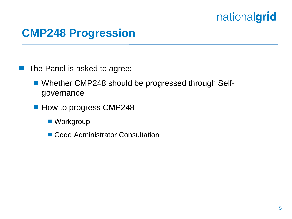#### **CMP248 Progression**

**The Panel is asked to agree:** 

- Whether CMP248 should be progressed through Selfgovernance
- How to progress CMP248
	- Workgroup
	- Code Administrator Consultation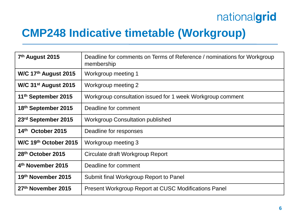### **CMP248 Indicative timetable (Workgroup)**

| 7 <sup>th</sup> August 2015      | Deadline for comments on Terms of Reference / nominations for Workgroup<br>membership |
|----------------------------------|---------------------------------------------------------------------------------------|
| W/C 17 <sup>th</sup> August 2015 | Workgroup meeting 1                                                                   |
| W/C $31st$ August 2015           | Workgroup meeting 2                                                                   |
| 11 <sup>th</sup> September 2015  | Workgroup consultation issued for 1 week Workgroup comment                            |
| 18th September 2015              | Deadline for comment                                                                  |
| 23rd September 2015              | <b>Workgroup Consultation published</b>                                               |
| 14th October 2015                | Deadline for responses                                                                |
| W/C 19th October 2015            | Workgroup meeting 3                                                                   |
| 28th October 2015                | Circulate draft Workgroup Report                                                      |
| 4 <sup>th</sup> November 2015    | Deadline for comment                                                                  |
| 19th November 2015               | Submit final Workgroup Report to Panel                                                |
| 27th November 2015               | <b>Present Workgroup Report at CUSC Modifications Panel</b>                           |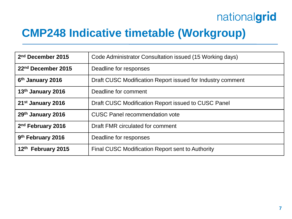### **CMP248 Indicative timetable (Workgroup)**

| 2 <sup>nd</sup> December 2015  | Code Administrator Consultation issued (15 Working days)   |
|--------------------------------|------------------------------------------------------------|
| 22 <sup>nd</sup> December 2015 | Deadline for responses                                     |
| 6 <sup>th</sup> January 2016   | Draft CUSC Modification Report issued for Industry comment |
| 13th January 2016              | Deadline for comment                                       |
| 21 <sup>st</sup> January 2016  | Draft CUSC Modification Report issued to CUSC Panel        |
| 29th January 2016              | <b>CUSC Panel recommendation vote</b>                      |
| 2 <sup>nd</sup> February 2016  | Draft FMR circulated for comment                           |
| 9 <sup>th</sup> February 2016  | Deadline for responses                                     |
| 12th February 2015             | Final CUSC Modification Report sent to Authority           |